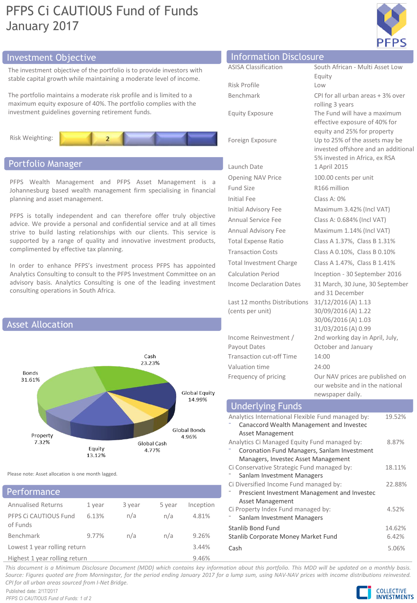# PFPS Ci CAUTIOUS Fund of Funds January 2017



# Investment Objective Information Disclosure Information Disclosure

The investment objective of the portfolio is to provide investors with stable capital growth while maintaining a moderate level of income.

The portfolio maintains a moderate risk profile and is limited to a maximum equity exposure of 40%. The portfolio complies with the investment guidelines governing retirement funds.



# Portfolio Manager

PFPS Wealth Management and PFPS Asset Management is a Johannesburg based wealth management firm specialising in financial planning and asset management.

PFPS is totally independent and can therefore offer truly objective advice. We provide a personal and confidential service and at all times strive to build lasting relationships with our clients. This service is supported by a range of quality and innovative investment products, complimented by effective tax planning.

In order to enhance PFPS's investment process PFPS has appointed Analytics Consulting to consult to the PFPS Investment Committee on an advisory basis. Analytics Consulting is one of the leading investment consulting operations in South Africa.



Please note: Asset allocation is one month lagged.

|  |  | Performance |
|--|--|-------------|
|  |  |             |

| <b>Annualised Returns</b>         | 1 year | 3 year | 5 year | Inception |
|-----------------------------------|--------|--------|--------|-----------|
| PFPS Ci CAUTIOUS Fund<br>of Funds | 6.13%  | n/a    | n/a    | 4.81%     |
| Benchmark                         | 9.77%  | n/a    | n/a    | 9.26%     |
| Lowest 1 year rolling return      |        |        |        |           |
| Highest 1 year rolling return     |        |        |        |           |

| Information Disclosure          |                                                               |
|---------------------------------|---------------------------------------------------------------|
| <b>ASISA Classification</b>     | South African - Multi Asset Low                               |
|                                 | Equity                                                        |
| Risk Profile                    | Low                                                           |
| <b>Benchmark</b>                | CPI for all urban areas + 3% over                             |
|                                 | rolling 3 years                                               |
| <b>Equity Exposure</b>          | The Fund will have a maximum<br>effective exposure of 40% for |
|                                 | equity and 25% for property                                   |
| Foreign Exposure                | Up to 25% of the assets may be                                |
|                                 | invested offshore and an additional                           |
|                                 | 5% invested in Africa, ex RSA                                 |
| Launch Date                     | 1 April 2015                                                  |
| <b>Opening NAV Price</b>        | 100.00 cents per unit                                         |
| Fund Size                       | R166 million                                                  |
| <b>Initial Fee</b>              | Class A: $0\%$                                                |
| Initial Advisory Fee            | Maximum 3.42% (Incl VAT)                                      |
| <b>Annual Service Fee</b>       | Class A: 0.684% (Incl VAT)                                    |
| Annual Advisory Fee             | Maximum 1.14% (Incl VAT)                                      |
| <b>Total Expense Ratio</b>      | Class A 1.37%, Class B 1.31%                                  |
| <b>Transaction Costs</b>        | Class A 0.10%, Class B 0.10%                                  |
| <b>Total Investment Charge</b>  | Class A 1.47%, Class B 1.41%                                  |
| <b>Calculation Period</b>       | Inception - 30 September 2016                                 |
| <b>Income Declaration Dates</b> | 31 March, 30 June, 30 September                               |
|                                 | and 31 December                                               |
| Last 12 months Distributions    | 31/12/2016 (A) 1.13                                           |
| (cents per unit)                | 30/09/2016 (A) 1.22                                           |
|                                 | 30/06/2016 (A) 1.03<br>31/03/2016 (A) 0.99                    |
| Income Reinvestment /           | 2nd working day in April, July,                               |
| Payout Dates                    | October and January                                           |
| <b>Transaction cut-off Time</b> | 14:00                                                         |
| Valuation time                  | 24:00                                                         |
| Frequency of pricing            | Our NAV prices are published on                               |
|                                 | our website and in the national                               |
|                                 | newsnaner daily                                               |

| $1.1$ $\sim$ $3.3$ $\sim$ $1.4$ $\sim$ $1.1$ $\sim$ $1.1$ $\sim$ $1.1$                                                             |                 |  |  |
|------------------------------------------------------------------------------------------------------------------------------------|-----------------|--|--|
| <b>Underlying Funds</b>                                                                                                            |                 |  |  |
| Analytics International Flexible Fund managed by:<br>Canaccord Wealth Management and Investec<br>Asset Management                  | 19.52%          |  |  |
| Analytics Ci Managed Equity Fund managed by:<br>Coronation Fund Managers, Sanlam Investment<br>Managers, Investec Asset Management | 8.87%           |  |  |
| Ci Conservative Strategic Fund managed by:<br>Sanlam Investment Managers                                                           | 18.11%          |  |  |
| Ci Diversified Income Fund managed by:<br>Prescient Investment Management and Investec<br>Asset Management                         | 22.88%          |  |  |
| Ci Property Index Fund managed by:<br>Sanlam Investment Managers                                                                   | 4.52%           |  |  |
| Stanlib Bond Fund<br>Stanlib Corporate Money Market Fund                                                                           | 14.62%<br>6.42% |  |  |
| Cash                                                                                                                               | 5.06%           |  |  |

This document is a Minimum Disclosure Document (MDD) which contains key information about this portfolio. This MDD will be updated on a monthly basis. Source: Figures guoted are from Morningstar, for the period ending January 2017 for a lump sum, using NAV-NAV prices with income distributions reinvested. *CPI for all urban areas sourced from I-Net Bridge.*

Published date: 2/17/2017 *PFPS Ci CAUTIOUS Fund of Funds: 1 of 2*